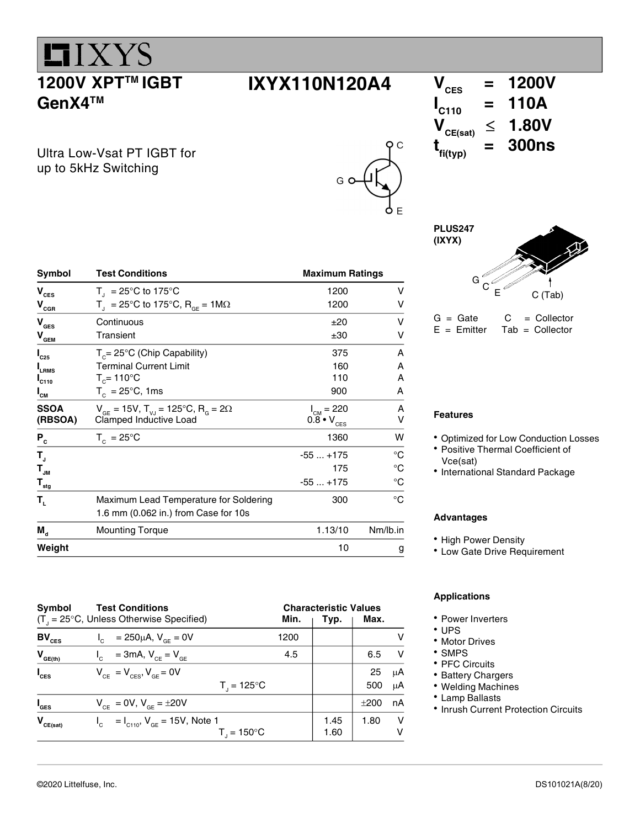### 1200V XPT<sup>™</sup> IGBT GenX4TM

 $IIXYZ$ 

Ultra Low-Vsat PT IGBT for up to 5kHz Switching

 $V_{\text{CGR}}$   $T_{\text{J}} = 25^{\circ} \text{C}$  to 175 $\frac{\text{C}}{\text{C}}$ ,  $R_{\text{GE}} = 1 \text{M} \Omega$ 

**SSOA**  $V_{GE} = 15V$ ,  $T_{VJ} = 125^{\circ}C$ ,  $R_{G} = 2\Omega$ <br>**(RBSOA)** Clamped Inductive Load

1.6 mm (0.062 in.) from Case for 10s

(RBSOA) Clamped Inductive Load<br> $\overline{P_{\sim}}$   $T_{\rm c} = 25^{\circ} \text{C}$ 

 $T_{JM}$ 



 $I_{CM} = 220$  A<br>0.8 •  $V_{CES}$  V

-55 ... +175 °C

### $V_{\text{CES}} = 1200V$ <br> $V_{\text{CES}} = 110A$  $I_{C110}$  =  $V_{\text{CE(sat)}} \leq 1.80V$  $t_{\text{fi(typ)}}$  $= 300$ ns

PLUS247 (IXYX)



 $G = Gate$   $C = Collector$ <br> $E = Emitter$  Tab = Collector  $Tab = Collector$ 

#### Features

- Optimized for Low Conduction Losses
- Positive Thermal Coefficient of Vce(sat)
- International Standard Package

#### Advantages

- High Power Density
- Low Gate Drive Requirement

| Symbol<br><b>Test Conditions</b><br>$(T_{\text{I}} = 25^{\circ}C$ , Unless Otherwise Specified) |                                                                       | Min. | <b>Characteristic Values</b><br>Max.<br>Typ. |           |          |
|-------------------------------------------------------------------------------------------------|-----------------------------------------------------------------------|------|----------------------------------------------|-----------|----------|
| $BV_{CES}$                                                                                      | $I_c = 250 \mu A$ , $V_{cF} = 0V$                                     | 1200 |                                              |           | v        |
| $V_{GE(th)}$                                                                                    | $V_{\text{c}}$ = 3mA, $V_{\text{ce}}$ = $V_{\text{ge}}$               | 4.5  |                                              | 6.5       | - V      |
| $I_{\text{CES}}$                                                                                | $V_{CF} = V_{CFS}$ , $V_{GF} = 0V$<br>$T_{1} = 125^{\circ}C$          |      |                                              | 25<br>500 | μA<br>μA |
| $I_{\text{GES}}$                                                                                | $V_{CF} = 0V$ , $V_{GF} = \pm 20V$                                    |      |                                              | $+200$    | nA       |
| $V_{CE(sat)}$                                                                                   | $I_c = I_{c110}$ , $V_{GE} = 15V$ , Note 1<br>$T_{\parallel}$ = 150°C |      | 1.45<br>1.60                                 | 1.80      | v<br>ν   |

Symbol Test Conditions **Maximum Ratings** Maximum Ratings

 $V_{CES}$  T<sub>J</sub> = 25°C to 175°C 1200 V<br>  $V_{CES}$  T<sub>J</sub> = 25°C to 175°C. R<sub>2</sub> = 1MΩ 1200 V

 $V_{\text{GES}}$  Continuous  $V_{\text{GES}}$   $\pm 20$  V  $V_{\text{GEM}}$  Transient  $V_{\text{GEM}}$   $\pm 30$  V  $I_{c25}$   $T_c = 25^{\circ}C$  (Chip Capability) 375 A  $I_{\text{LRMS}}$  Terminal Current Limit 160 A<br>  $I_{\text{C110}}$  T<sub>C</sub>= 110°C 110 A  $I_{c110}$  T<sub>c</sub>= 110°C 110 A  $I_{cm}$  T<sub>c</sub> = 25°C, 1ms 900 A

 $P_c$   $T_c = 25^{\circ}C$  1360 W

 $T_{\text{JM}}$  175  $\text{°C}$  $T_{\text{stg}}$   $-55...+175$   $^{\circ}C$ T<sub>L</sub> Maximum Lead Temperature for Soldering 300 <sup>o</sup>C

 $M_d$  Mounting Torque  $1.13/10$  Nm/lb.in **Weight** 10 g

#### Applications

- Power Inverters
- · UPS
- Motor Drives
- SMPS
- PFC Circuits
- Battery Chargers
- Welding Machines
- Lamp Ballasts
- Inrush Current Protection Circuits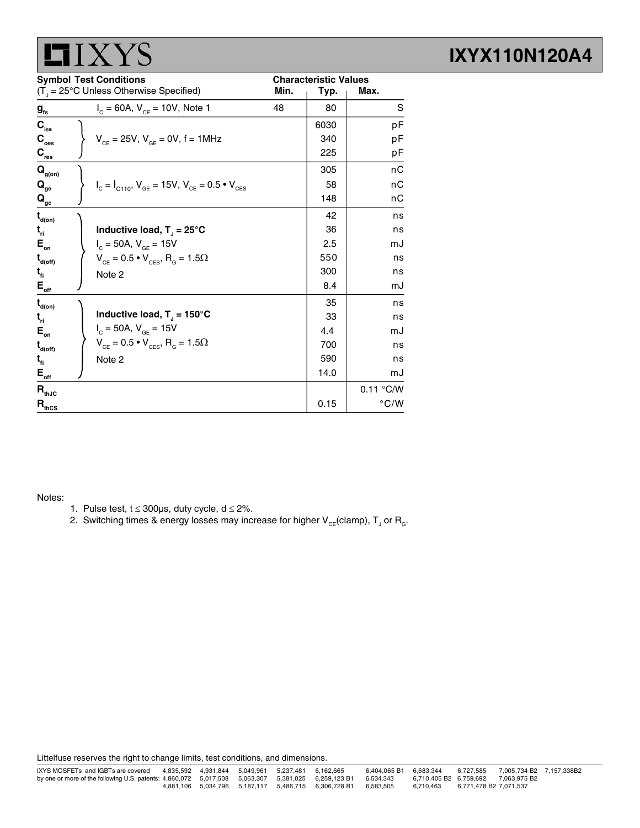|                                                | $\Lambda$ I J                                                                                      |      |                                      |               |
|------------------------------------------------|----------------------------------------------------------------------------------------------------|------|--------------------------------------|---------------|
|                                                | <b>Symbol Test Conditions</b><br>$(T_{\text{d}} = 25^{\circ} \text{C}$ Unless Otherwise Specified) | Min. | <b>Characteristic Values</b><br>Typ. | Max.          |
| $g_{\rm fs}$                                   | $I_c = 60A$ , $V_{ce} = 10V$ , Note 1                                                              | 48   | 80                                   | S             |
| $\mathbf{C}_{\text{ies}}$                      |                                                                                                    |      | 6030                                 | рF            |
| $\mathbf{C}_\mathrm{oes}$                      | $V_{CF} = 25V$ , $V_{GF} = 0V$ , $f = 1MHz$                                                        |      | 340                                  | рF            |
| $\mathbf{C}_{\text{res}}$                      |                                                                                                    |      | 225                                  | рF            |
| $\mathbf{Q}_{\text{g(on)}}$                    |                                                                                                    |      | 305                                  | nC            |
| $\mathbf{Q}_{_{\mathbf{ge}}}$                  | $I_c = I_{c110}$ , $V_{GE} = 15V$ , $V_{CE} = 0.5 \cdot V_{CES}$                                   |      | 58                                   | nС            |
| $\mathbf{Q}_{\underline{\mathbf{gc}}}$         |                                                                                                    |      | 148                                  | пC            |
| $\mathbf{t}_{\mathsf{d}(\mathsf{on})}$         |                                                                                                    |      | 42                                   | ns            |
| $t_{\rm r1}$                                   | Inductive load, $T_1 = 25^{\circ}C$                                                                |      | 36                                   | ns            |
| $E_{\rm on}$                                   | $I_c = 50A, V_{GE} = 15V$                                                                          |      | 2.5                                  | mJ            |
| $\mathbf{t}_{\mathsf{d}(\mathsf{off})}$        | $V_{CE} = 0.5 \cdot V_{CES}$ , R <sub>G</sub> = 1.5 $\Omega$                                       |      | 550                                  | ns            |
| $t_{fi}$                                       | Note 2                                                                                             |      | 300                                  | ns            |
| $\mathsf{E}_{\mathsf{off}}$                    |                                                                                                    |      | 8.4                                  | mJ            |
| $\mathbf{t}_{\text{d}(on)}$                    |                                                                                                    |      | 35                                   | ns            |
| $t_{\rm ri}$                                   | Inductive load, $T_{\parallel}$ = 150°C                                                            |      | 33                                   | ns            |
| $\mathsf{E}_{\scriptscriptstyle{\mathsf{on}}}$ | $I_c = 50A, V_{GE} = 15V$                                                                          |      | 4.4                                  | mJ            |
| $\mathbf{t}_{\mathsf{d}(\mathsf{off})}$        | $V_{CE} = 0.5 \cdot V_{CES}$ , R <sub>G</sub> = 1.5 $\Omega$                                       |      | 700                                  | ns            |
| $t_{fi}$                                       | Note 2                                                                                             |      | 590                                  | ns            |
| $E_{\text{off}}$                               |                                                                                                    |      | 14.0                                 | mJ            |
| $\mathbf{R}_{\text{thJC}}$                     |                                                                                                    |      |                                      | 0.11 °C/W     |
| $R_{thCS}$                                     |                                                                                                    |      | 0.15                                 | $\degree$ C/W |

### Notes:

 $HIVVC$ 

- 1. Pulse test,  $t \le 300 \mu s$ , duty cycle,  $d \le 2\%$ .
- 2. Switching times & energy losses may increase for higher  $\mathsf{V}_{\mathsf{CE}}$ (clamp),  $\mathsf{T}_{\mathsf{J}}$  or  $\mathsf{R}_{\mathsf{G}}$ .

Littelfuse reserves the right to change limits, test conditions, and dimensions.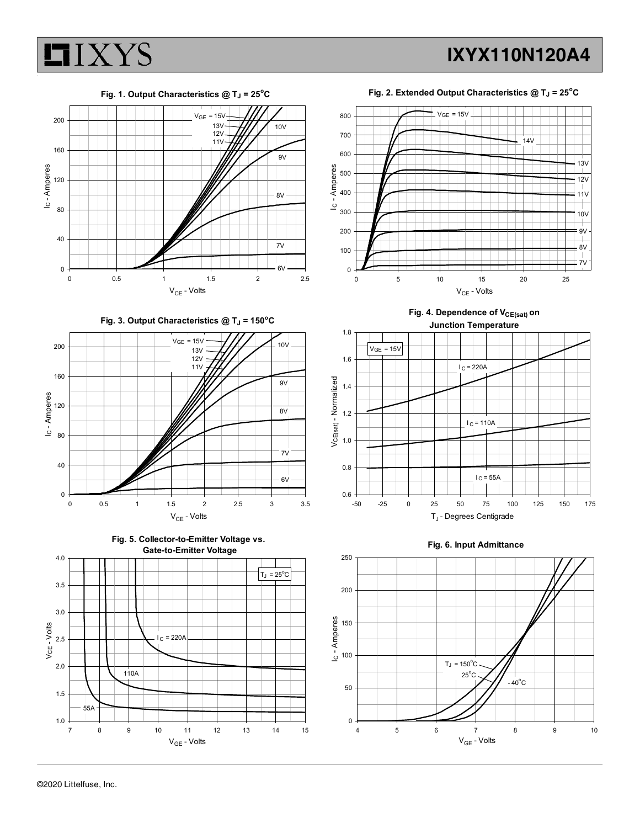



Fig. 3. Output Characteristics  $@T_J = 150°C$ 







Fig. 2. Extended Output Characteristics  $@T_J = 25^{\circ}C$ 



Fig. 4. Dependence of V<sub>CE(sat)</sub> on Junction Temperature





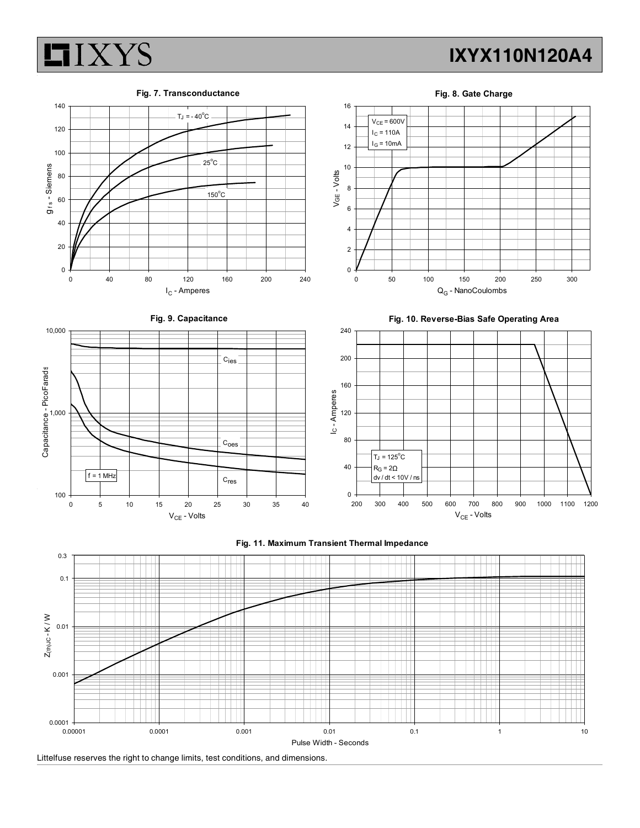

Fig. 7. Transconductance







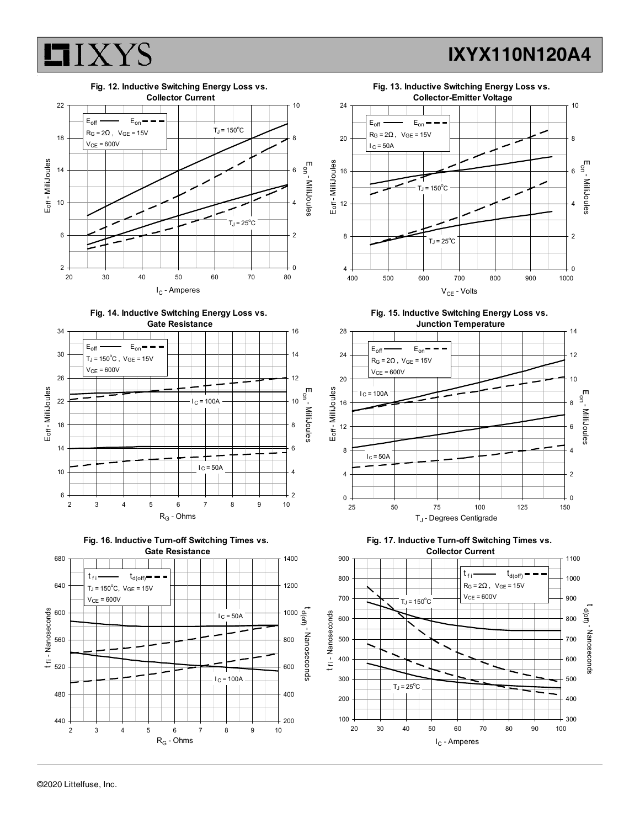











Fig. 15. Inductive Switching Energy Loss vs.





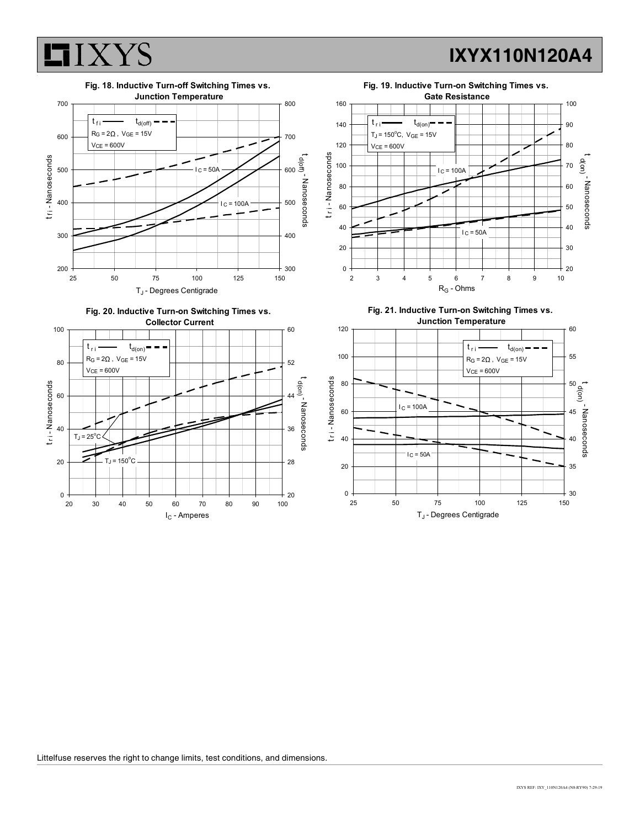

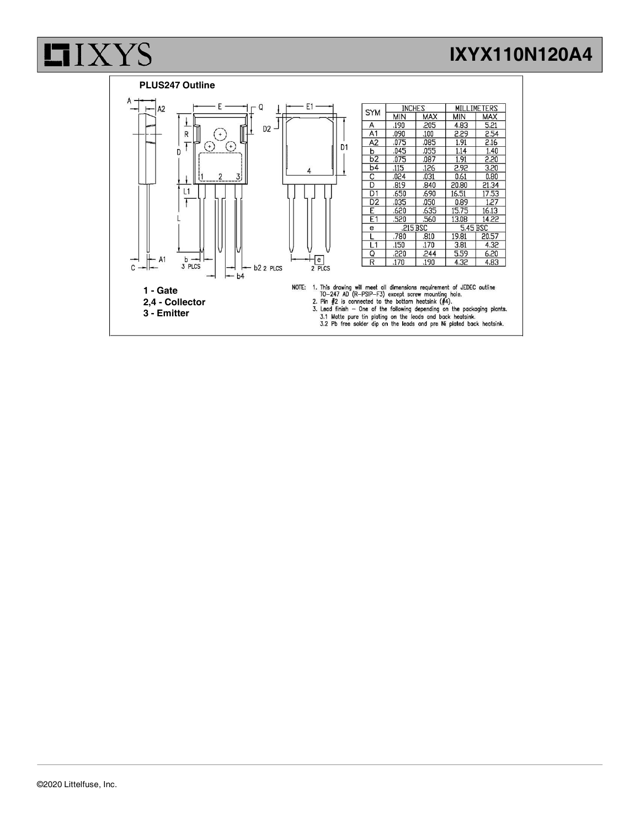